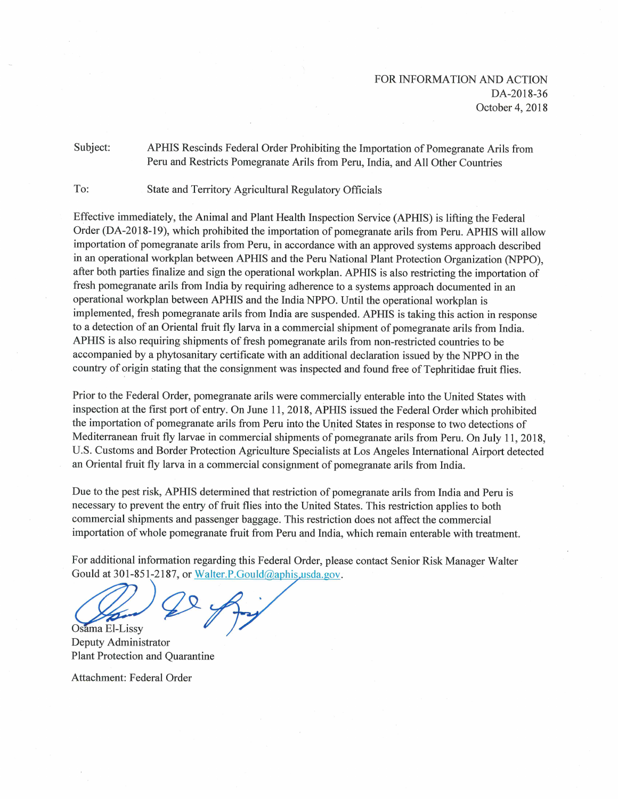Subject: APHIS Rescinds Federal Order Prohibiting the Importation of Pomegranate Arils from Peru and Restricts Pomegranate Arils from Peru, India, and All Other Countries

To: State and Territory Agricultural Regulatory Officials

Effective immediately, the Animal and Plant Health Inspection Service (APHIS) is lifting the Federal Order (DA-2018-19), which prohibited the importation of pomegranate arils from Peru. APHIS will allow importation of pomegranate arils from Peru, in accordance with an approved systems approach described in an operational workplan between APHIS and the Peru National Plant Protection Organization (NPPO), after both parties finalize and sign the operational workplan. APHIS is also restricting the importation of fresh pomegranate arils from India by requiring adherence to a systems approach documented in an operational workplan between APHIS and the India NPPO. Until the operational workplan is implemented, fresh pomegranate arils from India are suspended. APHIS is taking this action in response to a detection of an Oriental fruit fly larva in a commercial shipment of pomegranate arils from India. APHIS is also requiring shipments of fresh pomegranate arils from non-restricted countries to be accompanied by a phytosanitary certificate with an additional declaration issued by the NPPO in the country of origin stating that the consignment was inspected and found free of Tephritidae fruit flies.

Prior to the Federal Order, pomegranate arils were commercially enterable into the United States with inspection at the first port of entry. On June 11, 2018, APHIS issued the Federal Order which prohibited the importation of pomegranate arils from Peru into the United States in response to two detections of Mediterranean fruit fly larvae in commercial shipments of pomegranate arils from Peru. On July 11, 2018, U.S. Customs and Border Protection Agriculture Specialists at Los Angeles International Airport detected an Oriental fruit fly larva in a commercial consignment of pomegranate arils from India.

Due to the pest risk, APHIS determined that restriction of pomegranate arils from India and Peru is necessary to prevent the entry of fruit flies into the United States. This restriction applies to both commercial shipments and passenger baggage. This restriction does not affect the commercial importation of whole pomegranate fruit from Peru and India, which remain enterable with treatment.

For additional information regarding this Federal Order, please contact Senior Risk Manager Walter Gould at 301-851-2187, or Walter.P.Gould@aphis.usda.gov.

Osama El-Lissy

Deputy Administrator **Plant Protection and Quarantine** 

Attachment: Federal Order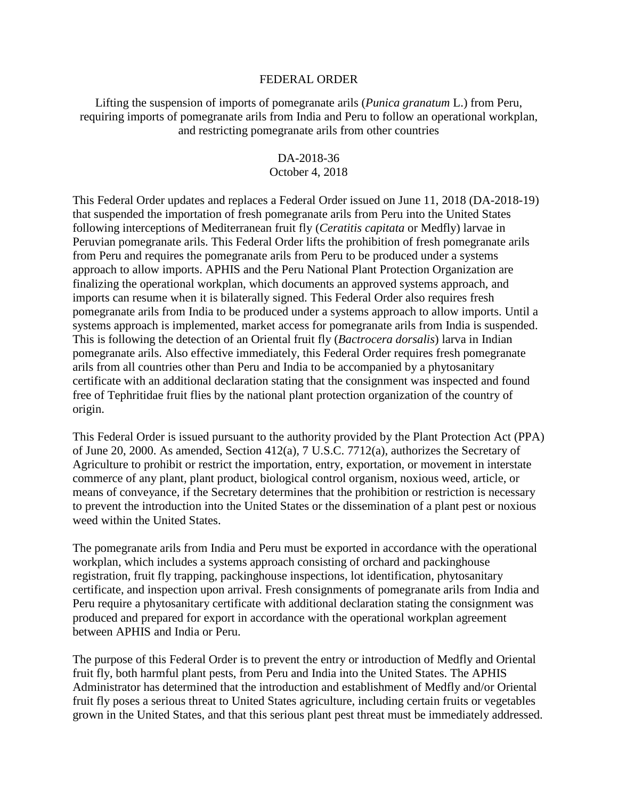## FEDERAL ORDER

Lifting the suspension of imports of pomegranate arils (*Punica granatum* L.) from Peru, requiring imports of pomegranate arils from India and Peru to follow an operational workplan, and restricting pomegranate arils from other countries

## DA-2018-36

## October 4, 2018

This Federal Order updates and replaces a Federal Order issued on June 11, 2018 (DA-2018-19) that suspended the importation of fresh pomegranate arils from Peru into the United States following interceptions of Mediterranean fruit fly (*Ceratitis capitata* or Medfly) larvae in Peruvian pomegranate arils. This Federal Order lifts the prohibition of fresh pomegranate arils from Peru and requires the pomegranate arils from Peru to be produced under a systems approach to allow imports. APHIS and the Peru National Plant Protection Organization are finalizing the operational workplan, which documents an approved systems approach, and imports can resume when it is bilaterally signed. This Federal Order also requires fresh pomegranate arils from India to be produced under a systems approach to allow imports. Until a systems approach is implemented, market access for pomegranate arils from India is suspended. This is following the detection of an Oriental fruit fly (*Bactrocera dorsalis*) larva in Indian pomegranate arils. Also effective immediately, this Federal Order requires fresh pomegranate arils from all countries other than Peru and India to be accompanied by a phytosanitary certificate with an additional declaration stating that the consignment was inspected and found free of Tephritidae fruit flies by the national plant protection organization of the country of origin.

This Federal Order is issued pursuant to the authority provided by the Plant Protection Act (PPA) of June 20, 2000. As amended, Section 412(a), 7 U.S.C. 7712(a), authorizes the Secretary of Agriculture to prohibit or restrict the importation, entry, exportation, or movement in interstate commerce of any plant, plant product, biological control organism, noxious weed, article, or means of conveyance, if the Secretary determines that the prohibition or restriction is necessary to prevent the introduction into the United States or the dissemination of a plant pest or noxious weed within the United States.

The pomegranate arils from India and Peru must be exported in accordance with the operational workplan, which includes a systems approach consisting of orchard and packinghouse registration, fruit fly trapping, packinghouse inspections, lot identification, phytosanitary certificate, and inspection upon arrival. Fresh consignments of pomegranate arils from India and Peru require a phytosanitary certificate with additional declaration stating the consignment was produced and prepared for export in accordance with the operational workplan agreement between APHIS and India or Peru.

The purpose of this Federal Order is to prevent the entry or introduction of Medfly and Oriental fruit fly, both harmful plant pests, from Peru and India into the United States. The APHIS Administrator has determined that the introduction and establishment of Medfly and/or Oriental fruit fly poses a serious threat to United States agriculture, including certain fruits or vegetables grown in the United States, and that this serious plant pest threat must be immediately addressed.